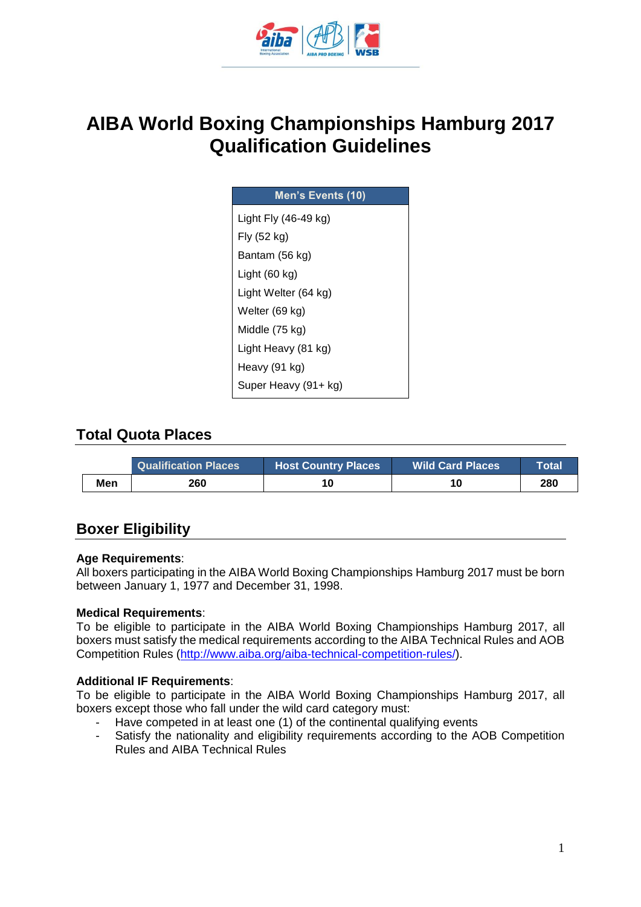

# **AIBA World Boxing Championships Hamburg 2017 Qualification Guidelines**

| Men's Events (10)    |
|----------------------|
| Light Fly (46-49 kg) |
| Fly (52 kg)          |
| Bantam (56 kg)       |
| Light (60 kg)        |
| Light Welter (64 kg) |
| Welter (69 kg)       |
| Middle (75 kg)       |
| Light Heavy (81 kg)  |
| Heavy (91 kg)        |
| Super Heavy (91+ kg) |

### **Total Quota Places**

|     | <b>Qualification Places</b> | <b>Host Country Places</b> | <b>Wild Card Places</b> | Total |
|-----|-----------------------------|----------------------------|-------------------------|-------|
| Men | 260                         |                            |                         | 280   |

### **Boxer Eligibility**

#### **Age Requirements**:

All boxers participating in the AIBA World Boxing Championships Hamburg 2017 must be born between January 1, 1977 and December 31, 1998.

#### **Medical Requirements**:

To be eligible to participate in the AIBA World Boxing Championships Hamburg 2017, all boxers must satisfy the medical requirements according to the AIBA Technical Rules and AOB Competition Rules [\(http://www.aiba.org/aiba-technical-competition-rules/\)](http://www.aiba.org/aiba-technical-competition-rules/).

#### **Additional IF Requirements**:

To be eligible to participate in the AIBA World Boxing Championships Hamburg 2017, all boxers except those who fall under the wild card category must:

- Have competed in at least one (1) of the continental qualifying events
- Satisfy the nationality and eligibility requirements according to the AOB Competition Rules and AIBA Technical Rules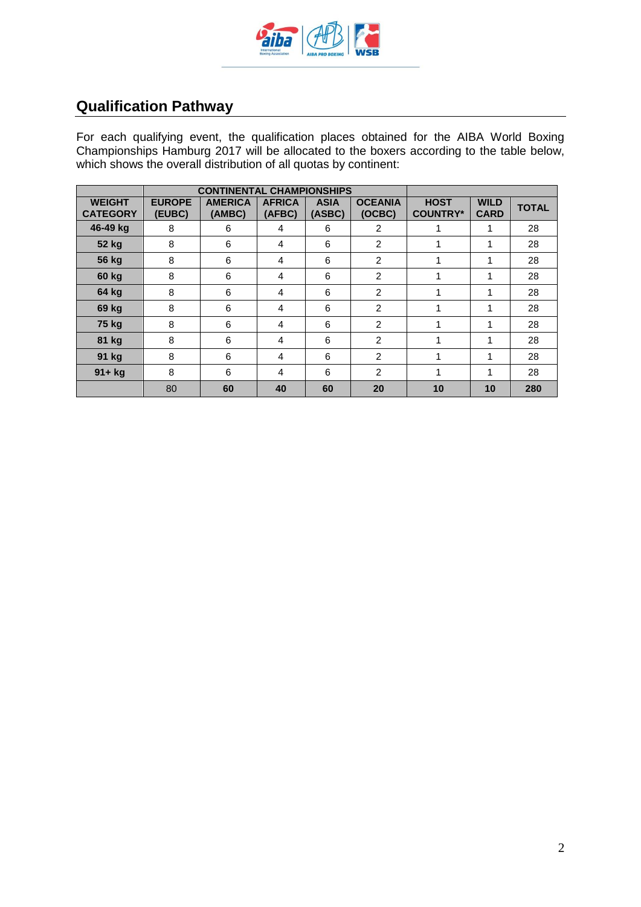

## **Qualification Pathway**

For each qualifying event, the qualification places obtained for the AIBA World Boxing Championships Hamburg 2017 will be allocated to the boxers according to the table below, which shows the overall distribution of all quotas by continent:

|                                  | <b>CONTINENTAL CHAMPIONSHIPS</b> |                          |                         |                       |                          |                                |                            |              |
|----------------------------------|----------------------------------|--------------------------|-------------------------|-----------------------|--------------------------|--------------------------------|----------------------------|--------------|
| <b>WEIGHT</b><br><b>CATEGORY</b> | <b>EUROPE</b><br>(EUBC)          | <b>AMERICA</b><br>(AMBC) | <b>AFRICA</b><br>(AFBC) | <b>ASIA</b><br>(ASBC) | <b>OCEANIA</b><br>(OCBC) | <b>HOST</b><br><b>COUNTRY*</b> | <b>WILD</b><br><b>CARD</b> | <b>TOTAL</b> |
| 46-49 kg                         | 8                                | 6                        | 4                       | 6                     | 2                        |                                | 1                          | 28           |
| 52 kg                            | 8                                | 6                        | 4                       | 6                     | 2                        | 1                              | 1                          | 28           |
| <b>56 kg</b>                     | 8                                | 6                        | 4                       | 6                     | $\overline{2}$           | 1                              | 1                          | 28           |
| 60 kg                            | 8                                | 6                        | 4                       | 6                     | 2                        | 1                              | 1                          | 28           |
| 64 kg                            | 8                                | 6                        | 4                       | 6                     | 2                        | 1                              | 1                          | 28           |
| 69 kg                            | 8                                | 6                        | 4                       | 6                     | $\overline{2}$           | 1                              | 1                          | 28           |
| 75 kg                            | 8                                | 6                        | 4                       | 6                     | 2                        | 1                              | 1                          | 28           |
| 81 kg                            | 8                                | 6                        | 4                       | 6                     | 2                        | 1                              | 1                          | 28           |
| 91 kg                            | 8                                | 6                        | 4                       | 6                     | $\mathfrak{p}$           | 1                              | 1                          | 28           |
| $91 + kg$                        | 8                                | 6                        | 4                       | 6                     | 2                        | 1                              | 1                          | 28           |
|                                  | 80                               | 60                       | 40                      | 60                    | 20                       | 10                             | 10                         | 280          |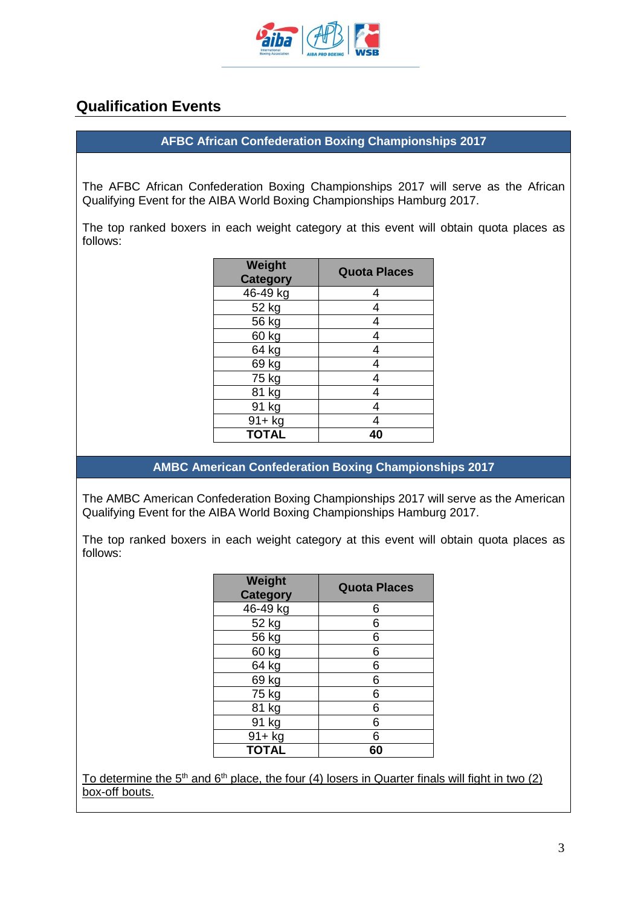

### **Qualification Events**

#### **AFBC African Confederation Boxing Championships 2017**

The AFBC African Confederation Boxing Championships 2017 will serve as the African Qualifying Event for the AIBA World Boxing Championships Hamburg 2017.

The top ranked boxers in each weight category at this event will obtain quota places as follows:

| <b>Weight</b><br><b>Category</b> | <b>Quota Places</b> |
|----------------------------------|---------------------|
| 46-49 kg                         | 4                   |
| 52 kg                            | 4                   |
| $56$ kg                          | 4                   |
| 60 kg                            | 4                   |
| 64 kg                            | 4                   |
| 69 kg                            | 4                   |
| 75 kg                            |                     |
| 81 kg                            | 4                   |
| 91 kg                            |                     |
| 91+ kg                           |                     |
| <b>TOTAL</b>                     |                     |

**AMBC American Confederation Boxing Championships 2017**

The AMBC American Confederation Boxing Championships 2017 will serve as the American Qualifying Event for the AIBA World Boxing Championships Hamburg 2017.

The top ranked boxers in each weight category at this event will obtain quota places as follows:

| <b>Weight</b><br><b>Category</b> | <b>Quota Places</b> |
|----------------------------------|---------------------|
| 46-49 kg                         | 6                   |
| 52 kg                            | 6                   |
| 56 kg                            | 6                   |
| 60 kg                            | 6                   |
| $\overline{6}4$ kg               | 6                   |
| 69 kg                            | 6                   |
| $\overline{7}5$ kg               | 6                   |
| 81 kg                            | 6                   |
| 91 kg                            | 6                   |
| 91+ kg                           | 6                   |
| <b>TOTAL</b>                     | 60                  |

To determine the 5<sup>th</sup> and 6<sup>th</sup> place, the four (4) losers in Quarter finals will fight in two (2) box-off bouts.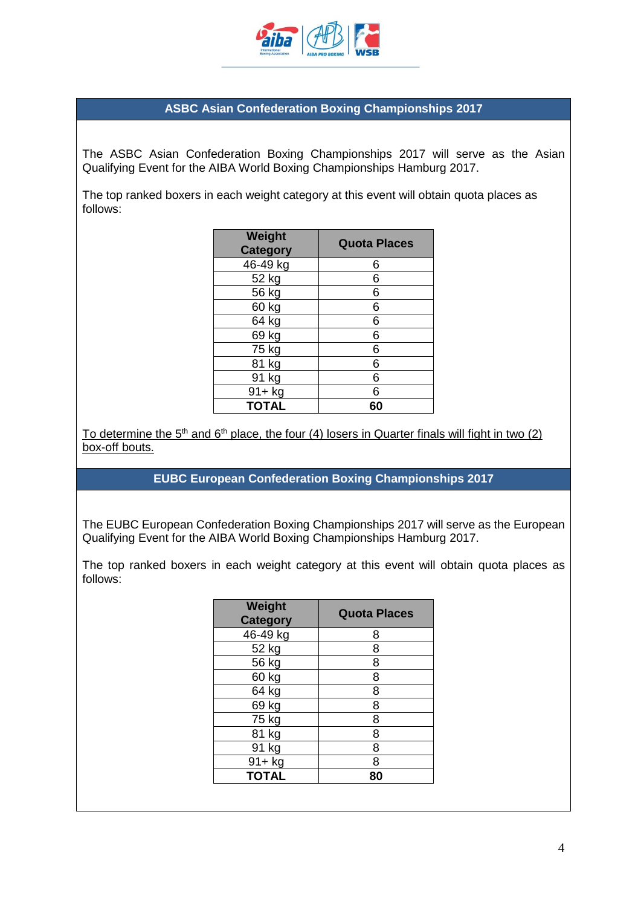

#### **ASBC Asian Confederation Boxing Championships 2017**

The ASBC Asian Confederation Boxing Championships 2017 will serve as the Asian Qualifying Event for the AIBA World Boxing Championships Hamburg 2017.

The top ranked boxers in each weight category at this event will obtain quota places as follows:

| <b>Weight</b><br><b>Category</b> | <b>Quota Places</b> |
|----------------------------------|---------------------|
| 46-49 kg                         | 6                   |
| 52 kg                            | 6                   |
| 56 kg                            | 6                   |
| 60 kg                            | 6                   |
| 64 kg                            | 6                   |
| 69 kg                            | 6                   |
| 75 kg                            | 6                   |
| 81 kg                            | 6                   |
| 91 kg                            | 6                   |
| 91+ kg                           | 6                   |
| <b>TOTAL</b>                     | 60                  |

To determine the  $5<sup>th</sup>$  and  $6<sup>th</sup>$  place, the four (4) losers in Quarter finals will fight in two (2) box-off bouts.

#### **EUBC European Confederation Boxing Championships 2017**

The EUBC European Confederation Boxing Championships 2017 will serve as the European Qualifying Event for the AIBA World Boxing Championships Hamburg 2017.

The top ranked boxers in each weight category at this event will obtain quota places as follows:

| Weight<br><b>Category</b> | <b>Quota Places</b> |
|---------------------------|---------------------|
| 46-49 kg                  | 8                   |
| 52 kg                     | 8                   |
| 56 kg                     | 8                   |
| 60 kg                     | 8                   |
| 64 kg                     | 8                   |
| 69 kg                     | 8                   |
| 75 kg                     | 8                   |
| 81 kg                     | 8                   |
| 91 kg                     | 8                   |
| 91+ kg                    | 8                   |
| <b>TOTAL</b>              | 80                  |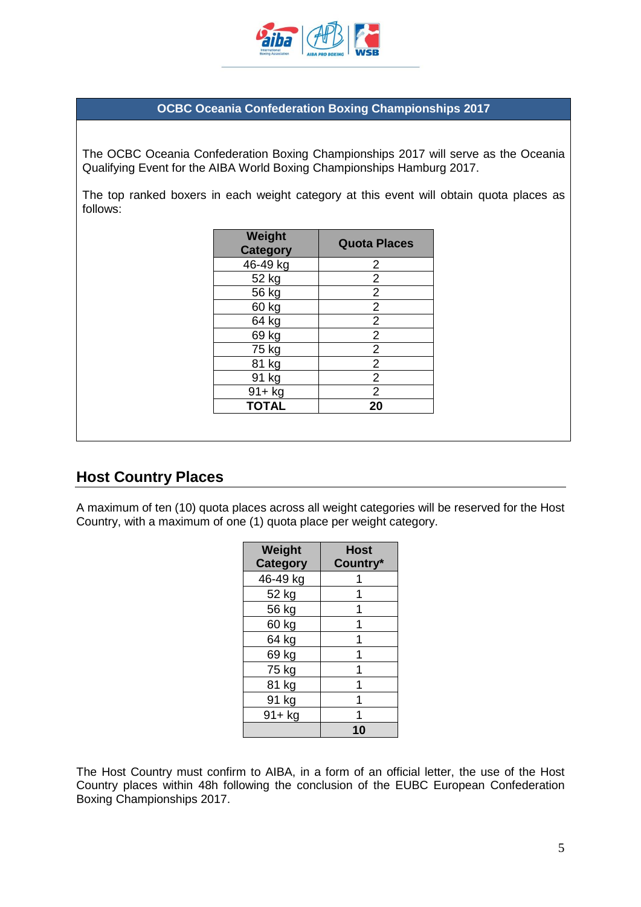

#### **OCBC Oceania Confederation Boxing Championships 2017**

The OCBC Oceania Confederation Boxing Championships 2017 will serve as the Oceania Qualifying Event for the AIBA World Boxing Championships Hamburg 2017.

The top ranked boxers in each weight category at this event will obtain quota places as follows:

| <b>Weight</b><br><b>Category</b> | <b>Quota Places</b> |
|----------------------------------|---------------------|
| 46-49 kg                         | 2                   |
| 52 kg                            | 2                   |
| 56 kg                            | $\overline{2}$      |
| 60 kg                            | $\overline{2}$      |
| 64 kg                            | $\overline{2}$      |
| 69 kg                            | $\overline{2}$      |
| 75 kg                            | $\overline{2}$      |
| 81 kg                            | $\overline{2}$      |
| 91 kg                            | 2                   |
| $91 + kg$                        | $\overline{2}$      |
| <b>TOTAL</b>                     | 20                  |

### **Host Country Places**

A maximum of ten (10) quota places across all weight categories will be reserved for the Host Country, with a maximum of one (1) quota place per weight category.

| Weight<br><b>Category</b> | <b>Host</b><br>Country* |
|---------------------------|-------------------------|
| 46-49 kg                  |                         |
| 52 kg                     |                         |
| 56 kg                     |                         |
| 60 kg                     |                         |
| 64 kg                     |                         |
| 69 kg                     |                         |
| 75 kg                     |                         |
| 81 kg                     |                         |
| 91 kg                     |                         |
| $91 + kg$                 |                         |
|                           |                         |

The Host Country must confirm to AIBA, in a form of an official letter, the use of the Host Country places within 48h following the conclusion of the EUBC European Confederation Boxing Championships 2017.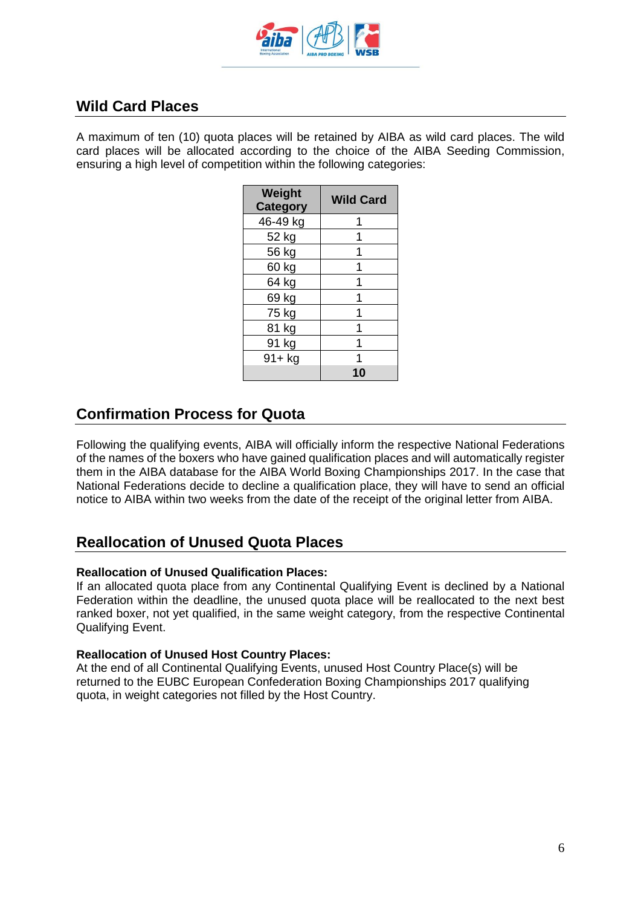

### **Wild Card Places**

A maximum of ten (10) quota places will be retained by AIBA as wild card places. The wild card places will be allocated according to the choice of the AIBA Seeding Commission, ensuring a high level of competition within the following categories:

| Weight<br><b>Category</b> | <b>Wild Card</b> |
|---------------------------|------------------|
| 46-49 kg                  |                  |
| 52 kg                     |                  |
| 56 kg                     |                  |
| 60 kg                     |                  |
| 64 kg                     |                  |
| 69 kg                     |                  |
| 75 kg                     |                  |
| 81 kg                     |                  |
| 91 kg                     |                  |
| $91 + kg$                 |                  |
|                           |                  |

### **Confirmation Process for Quota**

Following the qualifying events, AIBA will officially inform the respective National Federations of the names of the boxers who have gained qualification places and will automatically register them in the AIBA database for the AIBA World Boxing Championships 2017. In the case that National Federations decide to decline a qualification place, they will have to send an official notice to AIBA within two weeks from the date of the receipt of the original letter from AIBA.

### **Reallocation of Unused Quota Places**

#### **Reallocation of Unused Qualification Places:**

If an allocated quota place from any Continental Qualifying Event is declined by a National Federation within the deadline, the unused quota place will be reallocated to the next best ranked boxer, not yet qualified, in the same weight category, from the respective Continental Qualifying Event.

#### **Reallocation of Unused Host Country Places:**

At the end of all Continental Qualifying Events, unused Host Country Place(s) will be returned to the EUBC European Confederation Boxing Championships 2017 qualifying quota, in weight categories not filled by the Host Country.